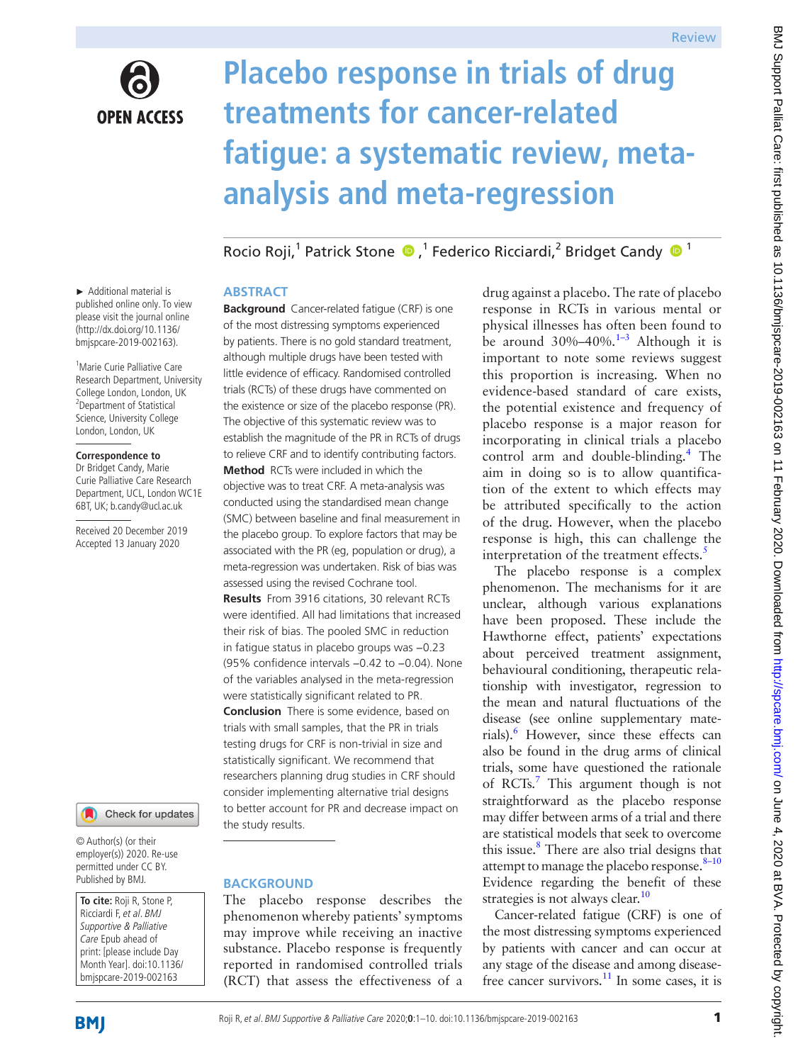

# **Placebo response in trials of drug treatments for cancer-related fatigue: a systematic review, metaanalysis and meta-regression**

Rocio Roji,<sup>1</sup> Patrick Stone <sup>1</sup>, Federico Ricciardi,<sup>2</sup> Bridget Candy <sup>1</sup>

# **Abstract**

**Background** Cancer-related fatigue (CRF) is one of the most distressing symptoms experienced by patients. There is no gold standard treatment, although multiple drugs have been tested with little evidence of efficacy. Randomised controlled trials (RCTs) of these drugs have commented on the existence or size of the placebo response (PR). The objective of this systematic review was to establish the magnitude of the PR in RCTs of drugs to relieve CRF and to identify contributing factors. **Method** RCTs were included in which the objective was to treat CRF. A meta-analysis was conducted using the standardised mean change (SMC) between baseline and final measurement in the placebo group. To explore factors that may be associated with the PR (eg, population or drug), a meta-regression was undertaken. Risk of bias was assessed using the revised Cochrane tool. **Results** From 3916 citations, 30 relevant RCTs were identified. All had limitations that increased their risk of bias. The pooled SMC in reduction in fatigue status in placebo groups was −0.23 (95% confidence intervals −0.42 to −0.04). None of the variables analysed in the meta-regression were statistically significant related to PR. **Conclusion** There is some evidence, based on trials with small samples, that the PR in trials testing drugs for CRF is non-trivial in size and statistically significant. We recommend that researchers planning drug studies in CRF should consider implementing alternative trial designs to better account for PR and decrease impact on the study results.

## **BACKGROUND**

The placebo response describes the phenomenon whereby patients' symptoms may improve while receiving an inactive substance. Placebo response is frequently reported in randomised controlled trials (RCT) that assess the effectiveness of a

drug against a placebo. The rate of placebo response in RCTs in various mental or physical illnesses has often been found to be around  $30\% - 40\%$ .<sup>1-3</sup> Although it is important to note some reviews suggest this proportion is increasing. When no evidence-based standard of care exists, the potential existence and frequency of placebo response is a major reason for incorporating in clinical trials a placebo control arm and double-blinding.<sup>[4](#page-8-0)</sup> The aim in doing so is to allow quantification of the extent to which effects may be attributed specifically to the action of the drug. However, when the placebo response is high, this can challenge the interpretation of the treatment effects.<sup>[5](#page-8-1)</sup>

The placebo response is a complex phenomenon. The mechanisms for it are unclear, although various explanations have been proposed. These include the Hawthorne effect, patients' expectations about perceived treatment assignment, behavioural conditioning, therapeutic relationship with investigator, regression to the mean and natural fluctuations of the disease (see [online supplementary mate](https://dx.doi.org/10.1136/bmjspcare-2019-002163)[rials](https://dx.doi.org/10.1136/bmjspcare-2019-002163)).<sup>6</sup> However, since these effects can also be found in the drug arms of clinical trials, some have questioned the rationale of RCTs.<sup>[7](#page-8-3)</sup> This argument though is not straightforward as the placebo response may differ between arms of a trial and there are statistical models that seek to overcome this issue.<sup>8</sup> There are also trial designs that attempt to manage the placebo response. $8-10$ Evidence regarding the benefit of these strategies is not always clear.<sup>10</sup>

Cancer-related fatigue (CRF) is one of the most distressing symptoms experienced by patients with cancer and can occur at any stage of the disease and among diseasefree cancer survivors. $^{11}$  In some cases, it is

► Additional material is published online only. To view please visit the journal online ([http://dx.doi.org/10.1136/](http://dx.doi.org/10.1136/bmjspcare-2019-002163) [bmjspcare-2019-002163](http://dx.doi.org/10.1136/bmjspcare-2019-002163)).

<sup>1</sup> Marie Curie Palliative Care Research Department, University College London, London, UK 2 Department of Statistical Science, University College London, London, UK

## **Correspondence to**

Dr Bridget Candy, Marie Curie Palliative Care Research Department, UCL, London WC1E 6BT, UK; b.candy@ucl.ac.uk

Received 20 December 2019 Accepted 13 January 2020



© Author(s) (or their employer(s)) 2020. Re-use permitted under CC BY. Published by BMJ.

**To cite:** Roji R, Stone P, Ricciardi F, et al. BMJ Supportive & Palliative Care Epub ahead of print: [please include Day Month Year]. doi:10.1136/ bmjspcare-2019-002163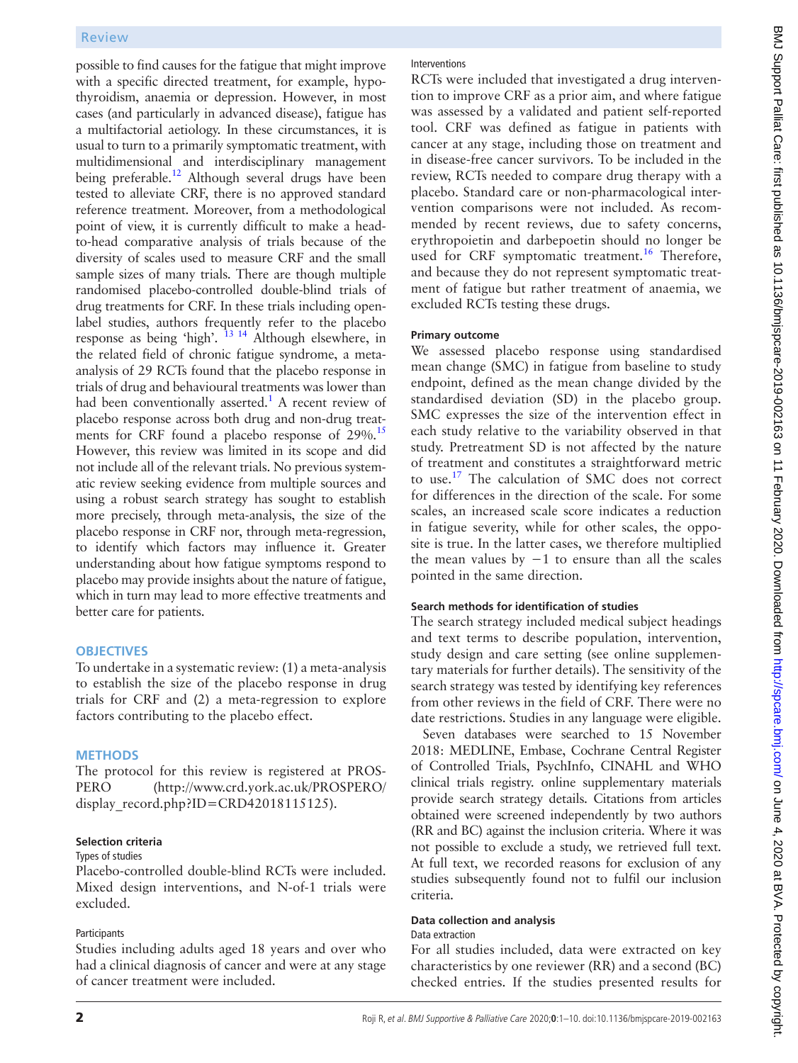possible to find causes for the fatigue that might improve with a specific directed treatment, for example, hypothyroidism, anaemia or depression. However, in most cases (and particularly in advanced disease), fatigue has a multifactorial aetiology. In these circumstances, it is usual to turn to a primarily symptomatic treatment, with multidimensional and interdisciplinary management being preferable[.12](#page-8-7) Although several drugs have been tested to alleviate CRF, there is no approved standard reference treatment. Moreover, from a methodological point of view, it is currently difficult to make a headto-head comparative analysis of trials because of the diversity of scales used to measure CRF and the small sample sizes of many trials. There are though multiple randomised placebo-controlled double-blind trials of drug treatments for CRF. In these trials including openlabel studies, authors frequently refer to the placebo response as being 'high'. <sup>13 14</sup> Although elsewhere, in the related field of chronic fatigue syndrome, a metaanalysis of 29 RCTs found that the placebo response in trials of drug and behavioural treatments was lower than had been conventionally asserted.<sup>1</sup> A recent review of placebo response across both drug and non-drug treatments for CRF found a placebo response of 29%.<sup>15</sup> However, this review was limited in its scope and did not include all of the relevant trials. No previous systematic review seeking evidence from multiple sources and using a robust search strategy has sought to establish more precisely, through meta-analysis, the size of the placebo response in CRF nor, through meta-regression, to identify which factors may influence it. Greater understanding about how fatigue symptoms respond to placebo may provide insights about the nature of fatigue, which in turn may lead to more effective treatments and better care for patients.

# **Objectives**

To undertake in a systematic review: (1) a meta-analysis to establish the size of the placebo response in drug trials for CRF and (2) a meta-regression to explore factors contributing to the placebo effect.

# **Methods**

The protocol for this review is registered at PROS-PERO ([http://www.crd.york.ac.uk/PROSPERO/](http://www.crd.york.ac.uk/PROSPERO/display_record.php?ID=CRD42018115125) display record.php?ID=CRD42018115125).

# **Selection criteria**

# Types of studies

Placebo-controlled double-blind RCTs were included. Mixed design interventions, and N-of-1 trials were excluded.

# Participants

Studies including adults aged 18 years and over who had a clinical diagnosis of cancer and were at any stage of cancer treatment were included.

Interventions

RCTs were included that investigated a drug intervention to improve CRF as a prior aim, and where fatigue was assessed by a validated and patient self-reported tool. CRF was defined as fatigue in patients with cancer at any stage, including those on treatment and in disease-free cancer survivors. To be included in the review, RCTs needed to compare drug therapy with a placebo. Standard care or non-pharmacological intervention comparisons were not included. As recommended by recent reviews, due to safety concerns, erythropoietin and darbepoetin should no longer be used for CRF symptomatic treatment.<sup>16</sup> Therefore, and because they do not represent symptomatic treatment of fatigue but rather treatment of anaemia, we excluded RCTs testing these drugs.

# **Primary outcome**

We assessed placebo response using standardised mean change (SMC) in fatigue from baseline to study endpoint, defined as the mean change divided by the standardised deviation (SD) in the placebo group. SMC expresses the size of the intervention effect in each study relative to the variability observed in that study. Pretreatment SD is not affected by the nature of treatment and constitutes a straightforward metric to use[.17](#page-8-11) The calculation of SMC does not correct for differences in the direction of the scale. For some scales, an increased scale score indicates a reduction in fatigue severity, while for other scales, the opposite is true. In the latter cases, we therefore multiplied the mean values by  $-1$  to ensure than all the scales pointed in the same direction.

# **Search methods for identification of studies**

The search strategy included medical subject headings and text terms to describe population, intervention, study design and care setting (see [online supplemen](https://dx.doi.org/10.1136/bmjspcare-2019-002163)[tary materials](https://dx.doi.org/10.1136/bmjspcare-2019-002163) for further details). The sensitivity of the search strategy was tested by identifying key references from other reviews in the field of CRF. There were no date restrictions. Studies in any language were eligible.

Seven databases were searched to 15 November 2018: MEDLINE, Embase, Cochrane Central Register of Controlled Trials, PsychInfo, CINAHL and WHO clinical trials registry. [online supplementary materials](https://dx.doi.org/10.1136/bmjspcare-2019-002163)  provide search strategy details. Citations from articles obtained were screened independently by two authors (RR and BC) against the inclusion criteria. Where it was not possible to exclude a study, we retrieved full text. At full text, we recorded reasons for exclusion of any studies subsequently found not to fulfil our inclusion criteria.

# **Data collection and analysis**

# Data extraction

For all studies included, data were extracted on key characteristics by one reviewer (RR) and a second (BC) checked entries. If the studies presented results for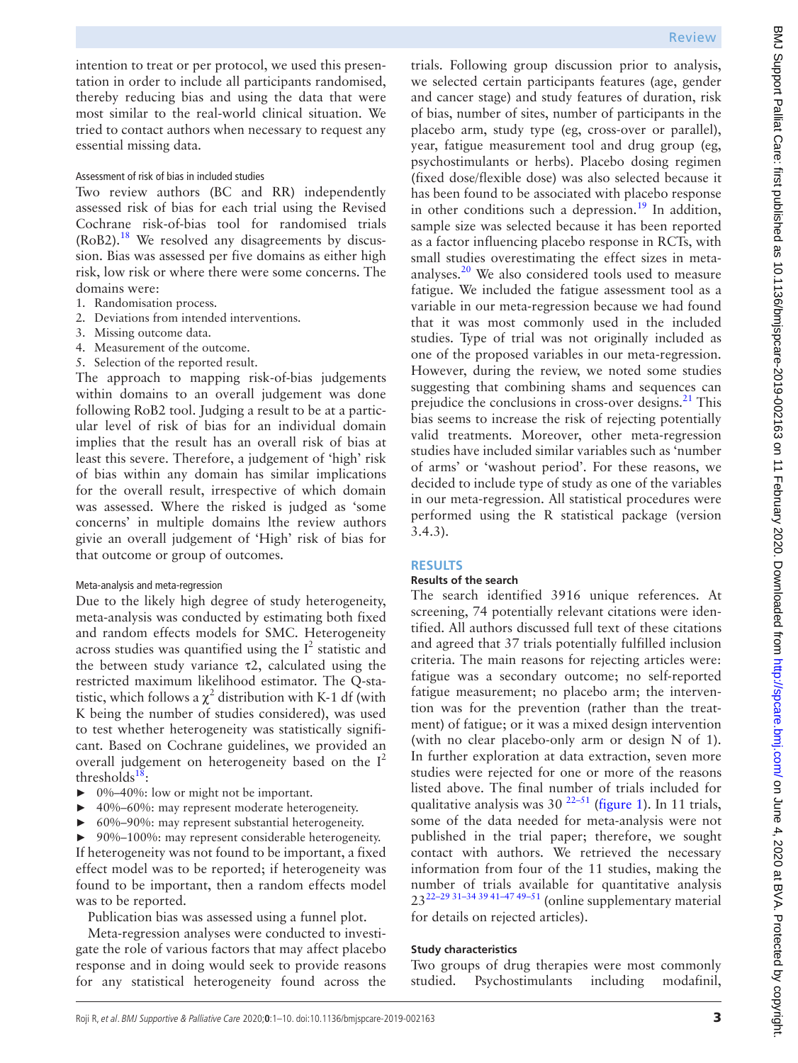intention to treat or per protocol, we used this presentation in order to include all participants randomised, thereby reducing bias and using the data that were most similar to the real-world clinical situation. We tried to contact authors when necessary to request any essential missing data.

#### Assessment of risk of bias in included studies

Two review authors (BC and RR) independently assessed risk of bias for each trial using the Revised Cochrane risk-of-bias tool for randomised trials  $(RoB2).$ <sup>[18](#page-8-12)</sup> We resolved any disagreements by discussion. Bias was assessed per five domains as either high risk, low risk or where there were some concerns. The domains were:

- 1. Randomisation process.
- 2. Deviations from intended interventions.
- 3. Missing outcome data.
- 4. Measurement of the outcome.
- 5. Selection of the reported result.

The approach to mapping risk-of-bias judgements within domains to an overall judgement was done following RoB2 tool. Judging a result to be at a particular level of risk of bias for an individual domain implies that the result has an overall risk of bias at least this severe. Therefore, a judgement of 'high' risk of bias within any domain has similar implications for the overall result, irrespective of which domain was assessed. Where the risked is judged as 'some concerns' in multiple domains lthe review authors givie an overall judgement of 'High' risk of bias for that outcome or group of outcomes.

#### Meta-analysis and meta-regression

Due to the likely high degree of study heterogeneity, meta-analysis was conducted by estimating both fixed and random effects models for SMC. Heterogeneity across studies was quantified using the  $I^2$  statistic and the between study variance τ2, calculated using the restricted maximum likelihood estimator. The Q-statistic, which follows a  $\chi^2$  distribution with K-1 df (with K being the number of studies considered), was used to test whether heterogeneity was statistically significant. Based on Cochrane guidelines, we provided an overall judgement on heterogeneity based on the  $I^2$ thresholds $18$ :

- ► 0%–40%: low or might not be important.
- ► 40%–60%: may represent moderate heterogeneity.
- ► 60%–90%: may represent substantial heterogeneity.

► 90%–100%: may represent considerable heterogeneity. If heterogeneity was not found to be important, a fixed effect model was to be reported; if heterogeneity was found to be important, then a random effects model was to be reported.

Publication bias was assessed using a funnel plot.

Meta-regression analyses were conducted to investigate the role of various factors that may affect placebo response and in doing would seek to provide reasons for any statistical heterogeneity found across the

trials. Following group discussion prior to analysis, we selected certain participants features (age, gender and cancer stage) and study features of duration, risk of bias, number of sites, number of participants in the placebo arm, study type (eg, cross-over or parallel), year, fatigue measurement tool and drug group (eg, psychostimulants or herbs). Placebo dosing regimen (fixed dose/flexible dose) was also selected because it has been found to be associated with placebo response in other conditions such a depression.<sup>[19](#page-8-13)</sup> In addition, sample size was selected because it has been reported as a factor influencing placebo response in RCTs, with small studies overestimating the effect sizes in metaanalyses.<sup>20</sup> We also considered tools used to measure fatigue. We included the fatigue assessment tool as a variable in our meta-regression because we had found that it was most commonly used in the included studies. Type of trial was not originally included as one of the proposed variables in our meta-regression. However, during the review, we noted some studies suggesting that combining shams and sequences can prejudice the conclusions in cross-over designs. $^{21}$  $^{21}$  $^{21}$  This bias seems to increase the risk of rejecting potentially valid treatments. Moreover, other meta-regression studies have included similar variables such as 'number of arms' or 'washout period'. For these reasons, we decided to include type of study as one of the variables in our meta-regression. All statistical procedures were performed using the R statistical package (version 3.4.3).

## **Results**

## **Results of the search**

The search identified 3916 unique references. At screening, 74 potentially relevant citations were identified. All authors discussed full text of these citations and agreed that 37 trials potentially fulfilled inclusion criteria. The main reasons for rejecting articles were: fatigue was a secondary outcome; no self-reported fatigue measurement; no placebo arm; the intervention was for the prevention (rather than the treatment) of fatigue; or it was a mixed design intervention (with no clear placebo-only arm or design N of 1). In further exploration at data extraction, seven more studies were rejected for one or more of the reasons listed above. The final number of trials included for qualitative analysis was 30 $22-51$  ([figure](#page-3-0) 1). In 11 trials, some of the data needed for meta-analysis were not published in the trial paper; therefore, we sought contact with authors. We retrieved the necessary information from four of the 11 studies, making the number of trials available for quantitative analysis  $23^{22-2931-343941-4749-51}$  (online supplementary material for details on rejected articles).

#### **Study characteristics**

Two groups of drug therapies were most commonly studied. Psychostimulants including modafinil,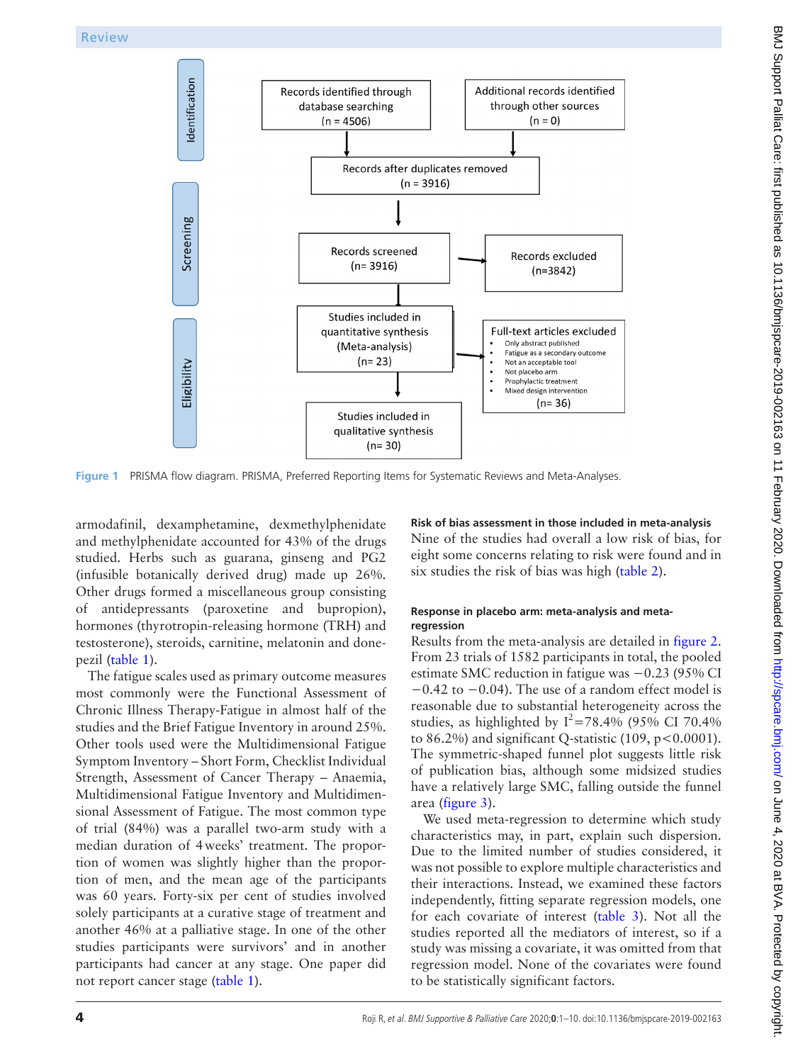

**Figure 1** PRISMA flow diagram. PRISMA, Preferred Reporting Items for Systematic Reviews and Meta-Analyses.

armodafinil, dexamphetamine, dexmethylphenidate and methylphenidate accounted for 43% of the drugs studied. Herbs such as guarana, ginseng and PG2 (infusible botanically derived drug) made up 26%. Other drugs formed a miscellaneous group consisting of antidepressants (paroxetine and bupropion), hormones (thyrotropin-releasing hormone (TRH) and testosterone), steroids, carnitine, melatonin and donepezil ([table](#page-4-0) 1).

The fatigue scales used as primary outcome measures most commonly were the Functional Assessment of Chronic Illness Therapy-Fatigue in almost half of the studies and the Brief Fatigue Inventory in around 25%. Other tools used were the Multidimensional Fatigue Symptom Inventory – Short Form, Checklist Individual Strength, Assessment of Cancer Therapy – Anaemia, Multidimensional Fatigue Inventory and Multidimensional Assessment of Fatigue. The most common type of trial (84%) was a parallel two-arm study with a median duration of 4weeks' treatment. The proportion of women was slightly higher than the proportion of men, and the mean age of the participants was 60 years. Forty-six per cent of studies involved solely participants at a curative stage of treatment and another 46% at a palliative stage. In one of the other studies participants were survivors' and in another participants had cancer at any stage. One paper did not report cancer stage [\(table](#page-4-0) 1).

<span id="page-3-0"></span>**Risk of bias assessment in those included in meta-analysis** Nine of the studies had overall a low risk of bias, for eight some concerns relating to risk were found and in six studies the risk of bias was high ([table](#page-5-0) 2).

# **Response in placebo arm: meta-analysis and metaregression**

Results from the meta-analysis are detailed in [figure](#page-5-1) 2. From 23 trials of 1582 participants in total, the pooled estimate SMC reduction in fatigue was −0.23 (95% CI  $-0.42$  to  $-0.04$ ). The use of a random effect model is reasonable due to substantial heterogeneity across the studies, as highlighted by  $I^2 = 78.4\%$  (95% CI 70.4% to 86.2%) and significant Q-statistic (109,  $p < 0.0001$ ). The symmetric-shaped funnel plot suggests little risk of publication bias, although some midsized studies have a relatively large SMC, falling outside the funnel area ([figure](#page-6-0) 3).

We used meta-regression to determine which study characteristics may, in part, explain such dispersion. Due to the limited number of studies considered, it was not possible to explore multiple characteristics and their interactions. Instead, we examined these factors independently, fitting separate regression models, one for each covariate of interest [\(table](#page-6-1) 3). Not all the studies reported all the mediators of interest, so if a study was missing a covariate, it was omitted from that regression model. None of the covariates were found to be statistically significant factors.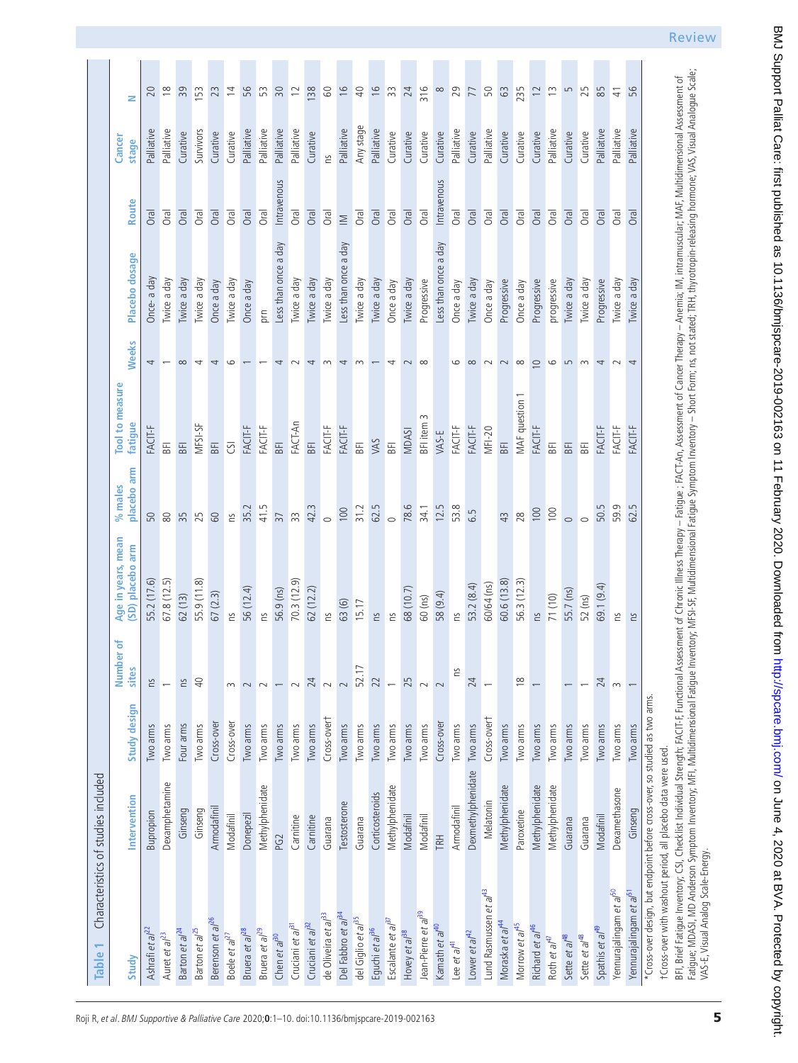<span id="page-4-0"></span>

| <b>Table</b>                                                                                                                                                                                                                                                         | Characteristics of studies included |              |                                 |                                                                                                                                                      |                        |                                   |                |                      |                  |                 |                 |
|----------------------------------------------------------------------------------------------------------------------------------------------------------------------------------------------------------------------------------------------------------------------|-------------------------------------|--------------|---------------------------------|------------------------------------------------------------------------------------------------------------------------------------------------------|------------------------|-----------------------------------|----------------|----------------------|------------------|-----------------|-----------------|
| Study                                                                                                                                                                                                                                                                | ntervention                         | Study design | ፟፟፟፟፟<br><b>Number</b><br>sites | Age in years, mean<br>arm<br>(SD) placebo                                                                                                            | placebo arm<br>% males | Tool to measure<br><b>fatigue</b> | Weeks          | Placebo dosage       | Route            | Cancer<br>stage | z               |
| Ashrafi et al <sup>22</sup>                                                                                                                                                                                                                                          | <b>Bupropion</b>                    | Two arms     | Ξ                               | 55.2 (17.6)                                                                                                                                          |                        | FACIT-F                           | 4              | Once- a day          | <b>Dral</b>      | Palliative      | 20              |
| Auret et al <sup>23</sup>                                                                                                                                                                                                                                            | Dexamphetamine                      | Two arms     | $\overline{\phantom{0}}$        | 67.8(12.5)                                                                                                                                           | 80                     | 돎                                 |                | Twice a day          | Oral             | Palliative      | $\frac{8}{10}$  |
| Barton et al <sup>24</sup>                                                                                                                                                                                                                                           | Ginseng                             | Four arms    | Ξ                               | 62(13)                                                                                                                                               | 35                     | $\overline{B}$                    | $\infty$       | Twice a day          | Oral             | Curative        | 39              |
| Barton et al <sup>25</sup>                                                                                                                                                                                                                                           | Ginseng                             | Two arms     | $\overline{40}$                 | 55.9 (11.8)                                                                                                                                          | 25                     | MFSI-SF                           | 4              | iwice a day          | Oral             | Survivors       | 53              |
| Berenson et al <sup>26</sup>                                                                                                                                                                                                                                         | Armodafinil                         | Cross-over   |                                 | 67(2.3)                                                                                                                                              | 60                     | BFI                               | 4              | Once a day           | Oral             | Curative        | 23              |
| Boele et al <sup>27</sup>                                                                                                                                                                                                                                            | Modafinil                           | Cross-over   | $\infty$                        | Ξ                                                                                                                                                    | Ξ                      | g                                 | 6              | iwice a day          | Oral             | Curative        | $\overline{4}$  |
| Bruera et al <sup>28</sup>                                                                                                                                                                                                                                           | Donepezil                           | Two arms     | $\sim$                          | 56 (12.4)                                                                                                                                            | 35.2                   | FACIT-F                           |                | Once a day           | O <sub>rel</sub> | Palliative      | 56              |
| Bruera et al <sup>29</sup>                                                                                                                                                                                                                                           | Methylphenidate                     | Two arms     |                                 | ns                                                                                                                                                   | 41.5                   | FACIT-F                           |                | prn                  | Oral             | Palliative      | SS              |
| Chen et al <sup>30</sup>                                                                                                                                                                                                                                             | PG2                                 | Two arms     |                                 | 56.9 (ns)                                                                                                                                            | $\overline{37}$        | BFI                               | 4              | Less than once a day | Intravenous      | Palliative      | 30              |
| Cruciani et al <sup>ai</sup>                                                                                                                                                                                                                                         | Carnitine                           | Two arms     | $\sim$                          | 70.3 (12.9)                                                                                                                                          | 33                     | FACT-An                           | $\sim$         | Twice a day          | Oral             | Palliative      | $\overline{12}$ |
| Cruciani et al <sup>32</sup>                                                                                                                                                                                                                                         | Carnitine                           | Two arms     | 24                              | 62(12.2)                                                                                                                                             | 42.3                   | $\overline{B}$                    | 4              | Twice a day          | Oral             | Curative        | 138             |
| de Oliveira et al <sup>33</sup>                                                                                                                                                                                                                                      | Guarana                             | Cross-overt  | $\sim$                          | Σu                                                                                                                                                   | $\circ$                | FACIT-F                           | $\sim$         | Twice a day          | Oral             | Έ               | <b>GO</b>       |
| Del Fabbro et al <sup>34</sup>                                                                                                                                                                                                                                       | Testosterone                        | Two arms     | $\sim$                          | 63(6)                                                                                                                                                | 100                    | FACIT-F                           | 4              | Less than once a day | $\geq$           | Palliative      | $\frac{1}{6}$   |
| del Giglio et al <sup>35</sup>                                                                                                                                                                                                                                       | Guarana                             | Two arms     | 52.17                           | 15.17                                                                                                                                                | 31.2                   | $\overline{B}$                    | $\sim$         | Twice a day          | Oral             | Any stage       | $\Theta$        |
| Eguchi et al <sup>36</sup>                                                                                                                                                                                                                                           | Corticosteroids                     | Two arms     | 22                              | ns                                                                                                                                                   | 62.5                   | VAS                               |                | Twice a day          | Oral             | Palliative      | $\frac{6}{2}$   |
| Escalante et al <sup>37</sup>                                                                                                                                                                                                                                        | Methylphenidate                     | Two arms     |                                 | ΥÉ                                                                                                                                                   | $\circ$                | $\overline{B}$                    | 4              | Once a day           | Oral             | Curative        | 33              |
| Hovey et al <sup>38</sup>                                                                                                                                                                                                                                            | Modafinil                           | Two arms     | 25                              | 68 (10.7)                                                                                                                                            | 78.6                   | <b>MDASI</b>                      |                | Twice a day          | Oral             | Curative        | 24              |
| lean-Pierre et al <sup>39</sup>                                                                                                                                                                                                                                      | Modafinil                           | Two arms     | $\sim$                          | 60 (ns)                                                                                                                                              | 34.1                   | BFI item 3                        | $\infty$       | Progressive          | Oral             | Curative        | 316             |
| Kamath et al <sup>40</sup>                                                                                                                                                                                                                                           | TRH                                 | Cross-over   | $\sim$                          | 58 (9.4)                                                                                                                                             | 12.5                   | VAS-E                             |                | Less than once a day | Intravenous      | Curative        | $\infty$        |
| Lee et $a^{n+1}$                                                                                                                                                                                                                                                     | Armodafinil                         | Two arms     | Σu                              | ΓŚ                                                                                                                                                   | 53.8                   | FACIT-F                           | 6              | Once a day           | Oral             | Palliative      | 29              |
| Lower et $a^{42}$                                                                                                                                                                                                                                                    | Dexmethylphenidate                  | Two arms     | 24                              | 53.2 (8.4)                                                                                                                                           | 6.5                    | FACIT-F                           | $\infty$       | Twice a day          | Oral             | Curative        | 77              |
| Lund Rasmussen et al <sup>43</sup>                                                                                                                                                                                                                                   | Melatonin                           | Cross-overt  |                                 | 60/64 (ns)                                                                                                                                           |                        | MFI-20                            | $\sim$         | Once a day           | Oral             | Palliative      | 50              |
| Moraska et a/ <sup>44</sup>                                                                                                                                                                                                                                          | Methylphenidate                     | Two arms     |                                 | 60.6(13.8)                                                                                                                                           | 43                     | BFI                               | $\sim$         | Progressive          | Oral             | Curative        | 63              |
| Morrow et al <sup>45</sup>                                                                                                                                                                                                                                           | Paroxetine                          | Two arms     | $\approx$                       | 56.3 (12.3)                                                                                                                                          | 28                     | MAF question 1                    | $\infty$       | Once a day           | $\overline{C}$   | Curative        | 235             |
| Richard et al <sup>46</sup>                                                                                                                                                                                                                                          | Methylphenidate                     | Two arms     |                                 | ns                                                                                                                                                   | 100                    | FACIT-F                           | $\supseteq$    | Progressive          | Oral             | Curative        | $\overline{12}$ |
| Roth et al <sup>47</sup>                                                                                                                                                                                                                                             | Methylphenidate                     | Two arms     |                                 | 71 (10)                                                                                                                                              | 100                    | $\overline{B}$                    | $\circ$        | progressive          | Oral             | Palliative      | $\frac{3}{2}$   |
| Sette et al <sup>48</sup>                                                                                                                                                                                                                                            | Guarana                             | Two arms     |                                 | 55.7 (ns)                                                                                                                                            | $\circ$                | $\overline{B}$                    | $\overline{5}$ | Twice a day          | Oral             | Curative        | $\overline{5}$  |
| Sette et al <sup>48</sup>                                                                                                                                                                                                                                            | Guarana                             | Two arms     |                                 | 52 (ns)                                                                                                                                              | $\circ$                | 돎                                 | $\sim$         | Twice a day          | Oral             | Curative        | 25              |
| Spathis et al <sup>49</sup>                                                                                                                                                                                                                                          | Modafini                            | Two arms     | 24                              | 69.1 (9.4)                                                                                                                                           | 50.5                   | FACIT-F                           | 4              | Progressive          | $O$ ral          | Palliative      | 85              |
| Yennurajalingam <i>et al<sup>50</sup></i>                                                                                                                                                                                                                            | Dexamethasone                       | Two arms     | $\sim$                          | Σu                                                                                                                                                   | 59.9                   | FACIT-F                           |                | Twice a day          | Oral             | Palliative      | $\frac{1}{4}$   |
| Yennurajalingam <i>et al<sup>51</sup></i>                                                                                                                                                                                                                            | Ginseng                             | Two arms     |                                 | NS                                                                                                                                                   | LU.<br>62.             | FACIT-F                           | $\overline{4}$ | Twice a day          | Oral             | Palliative      | 56              |
| *Cross-over design, but endpoint before cross-over, so studied as two arms.                                                                                                                                                                                          |                                     |              |                                 |                                                                                                                                                      |                        |                                   |                |                      |                  |                 |                 |
| t Cross-over with washout period, all placebo data were used.                                                                                                                                                                                                        |                                     |              |                                 |                                                                                                                                                      |                        |                                   |                |                      |                  |                 |                 |
| BFI, Brief Fatigue Inventory; CSI, Checklist Individual Strength; FACIT-F, Functional Asse                                                                                                                                                                           |                                     |              |                                 | ssment of Chronic Illness Therapy – Fatigue ; FACT-An, Assessment of Cancer Therapy – Anemia; IM, intramuscular; MAF, Multidimensional Assessment of |                        |                                   |                |                      |                  |                 |                 |
| Fatigue; MDASI, MD Anderson Symptom Inventory; MFI, Multidimensional Fatigue Inventory; MFSI-SF, Multidimensional Fatigue Symptom Inventory – Short Form; ns, not stated; TRH, thyrotropin-releasing hormone; VAS, Visual Anal<br>VAS-E, Visual Analog Scale-Energy. |                                     |              |                                 |                                                                                                                                                      |                        |                                   |                |                      |                  |                 |                 |

Review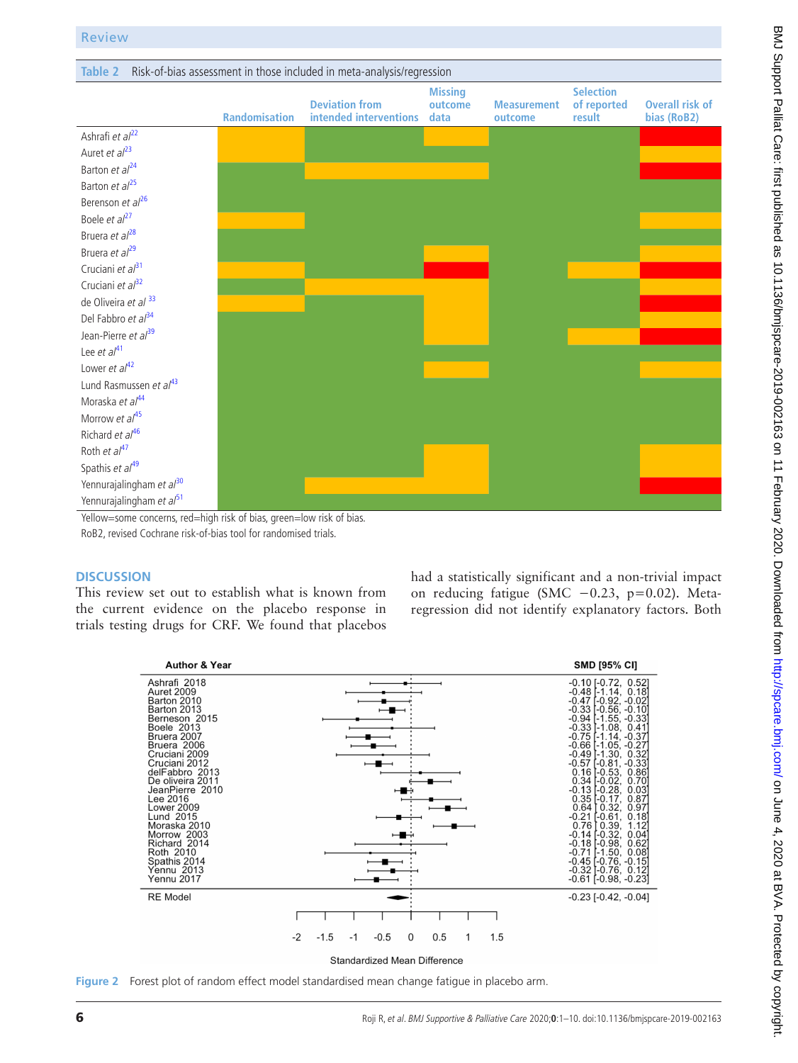<span id="page-5-0"></span>

| Table 2                              |                      | Risk-of-bias assessment in those included in meta-analysis/regression |                                   |                               |                                           |                                       |
|--------------------------------------|----------------------|-----------------------------------------------------------------------|-----------------------------------|-------------------------------|-------------------------------------------|---------------------------------------|
|                                      | <b>Randomisation</b> | <b>Deviation from</b><br>intended interventions                       | <b>Missing</b><br>outcome<br>data | <b>Measurement</b><br>outcome | <b>Selection</b><br>of reported<br>result | <b>Overall risk of</b><br>bias (RoB2) |
| Ashrafi et al <sup>22</sup>          |                      |                                                                       |                                   |                               |                                           |                                       |
| Auret et al <sup>23</sup>            |                      |                                                                       |                                   |                               |                                           |                                       |
| Barton et al <sup>24</sup>           |                      |                                                                       |                                   |                               |                                           |                                       |
| Barton et al <sup>25</sup>           |                      |                                                                       |                                   |                               |                                           |                                       |
| Berenson et al <sup>26</sup>         |                      |                                                                       |                                   |                               |                                           |                                       |
| Boele et al <sup>27</sup>            |                      |                                                                       |                                   |                               |                                           |                                       |
| Bruera et al <sup>28</sup>           |                      |                                                                       |                                   |                               |                                           |                                       |
| Bruera et al <sup>29</sup>           |                      |                                                                       |                                   |                               |                                           |                                       |
| Cruciani et al <sup>31</sup>         |                      |                                                                       |                                   |                               |                                           |                                       |
| Cruciani et al <sup>32</sup>         |                      |                                                                       |                                   |                               |                                           |                                       |
| de Oliveira et al 33                 |                      |                                                                       |                                   |                               |                                           |                                       |
| Del Fabbro et al <sup>34</sup>       |                      |                                                                       |                                   |                               |                                           |                                       |
| Jean-Pierre et al <sup>39</sup>      |                      |                                                                       |                                   |                               |                                           |                                       |
| Lee et $a/41$                        |                      |                                                                       |                                   |                               |                                           |                                       |
| Lower et $al^{42}$                   |                      |                                                                       |                                   |                               |                                           |                                       |
| Lund Rasmussen et al <sup>43</sup>   |                      |                                                                       |                                   |                               |                                           |                                       |
| Moraska et al <sup>44</sup>          |                      |                                                                       |                                   |                               |                                           |                                       |
| Morrow et al <sup>45</sup>           |                      |                                                                       |                                   |                               |                                           |                                       |
| Richard et al <sup>46</sup>          |                      |                                                                       |                                   |                               |                                           |                                       |
| Roth et al <sup>47</sup>             |                      |                                                                       |                                   |                               |                                           |                                       |
| Spathis et al <sup>49</sup>          |                      |                                                                       |                                   |                               |                                           |                                       |
| Yennurajalingham et al <sup>30</sup> |                      |                                                                       |                                   |                               |                                           |                                       |
| Yennurajalingham et al <sup>51</sup> |                      |                                                                       |                                   |                               |                                           |                                       |

Yellow=some concerns, red=high risk of bias, green=low risk of bias. RoB2, revised Cochrane risk-of-bias tool for randomised trials.

# **Discussion**

This review set out to establish what is known from the current evidence on the placebo response in trials testing drugs for CRF. We found that placebos

had a statistically significant and a non-trivial impact on reducing fatigue (SMC −0.23, p=0.02). Metaregression did not identify explanatory factors. Both



<span id="page-5-1"></span>**Figure 2** Forest plot of random effect model standardised mean change fatigue in placebo arm.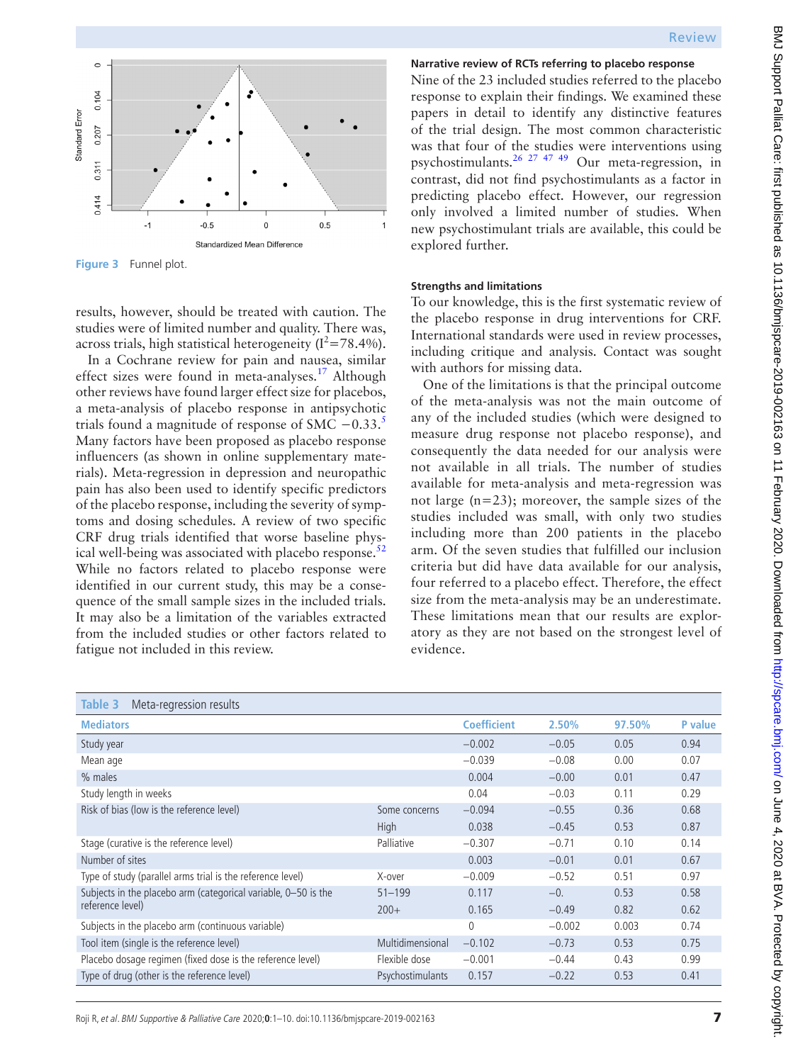



<span id="page-6-0"></span>**Figure 3** Funnel plot.

results, however, should be treated with caution. The studies were of limited number and quality. There was, across trials, high statistical heterogeneity ( $I^2 = 78.4\%$ ).

In a Cochrane review for pain and nausea, similar effect sizes were found in meta-analyses.<sup>[17](#page-8-11)</sup> Although other reviews have found larger effect size for placebos, a meta-analysis of placebo response in antipsychotic trials found a magnitude of response of SMC  $-0.33$ .<sup>[5](#page-8-1)</sup> Many factors have been proposed as placebo response influencers (as shown in [online supplementary mate](https://dx.doi.org/10.1136/bmjspcare-2019-002163)[rials](https://dx.doi.org/10.1136/bmjspcare-2019-002163)). Meta-regression in depression and neuropathic pain has also been used to identify specific predictors of the placebo response, including the severity of symptoms and dosing schedules. A review of two specific CRF drug trials identified that worse baseline phys-ical well-being was associated with placebo response.<sup>[52](#page-9-12)</sup> While no factors related to placebo response were identified in our current study, this may be a consequence of the small sample sizes in the included trials. It may also be a limitation of the variables extracted from the included studies or other factors related to fatigue not included in this review.

**Narrative review of RCTs referring to placebo response**

Nine of the 23 included studies referred to the placebo response to explain their findings. We examined these papers in detail to identify any distinctive features of the trial design. The most common characteristic was that four of the studies were interventions using psychostimulants.<sup>[26 27 47 49](#page-8-20)</sup> Our meta-regression, in contrast, did not find psychostimulants as a factor in predicting placebo effect. However, our regression only involved a limited number of studies. When new psychostimulant trials are available, this could be explored further.

#### **Strengths and limitations**

To our knowledge, this is the first systematic review of the placebo response in drug interventions for CRF. International standards were used in review processes, including critique and analysis. Contact was sought with authors for missing data.

One of the limitations is that the principal outcome of the meta-analysis was not the main outcome of any of the included studies (which were designed to measure drug response not placebo response), and consequently the data needed for our analysis were not available in all trials. The number of studies available for meta-analysis and meta-regression was not large (n=23); moreover, the sample sizes of the studies included was small, with only two studies including more than 200 patients in the placebo arm. Of the seven studies that fulfilled our inclusion criteria but did have data available for our analysis, four referred to a placebo effect. Therefore, the effect size from the meta-analysis may be an underestimate. These limitations mean that our results are exploratory as they are not based on the strongest level of evidence.

<span id="page-6-1"></span>

| Meta-regression results<br>Table 3                             |                  |                    |          |        |                |  |  |  |  |
|----------------------------------------------------------------|------------------|--------------------|----------|--------|----------------|--|--|--|--|
| <b>Mediators</b>                                               |                  | <b>Coefficient</b> | 2.50%    | 97.50% | <b>P</b> value |  |  |  |  |
| Study year                                                     |                  | $-0.002$           | $-0.05$  | 0.05   | 0.94           |  |  |  |  |
| Mean age                                                       |                  | $-0.039$           | $-0.08$  | 0.00   | 0.07           |  |  |  |  |
| % males                                                        |                  | 0.004              | $-0.00$  | 0.01   | 0.47           |  |  |  |  |
| Study length in weeks                                          |                  | 0.04               | $-0.03$  | 0.11   | 0.29           |  |  |  |  |
| Risk of bias (low is the reference level)                      | Some concerns    | $-0.094$           | $-0.55$  | 0.36   | 0.68           |  |  |  |  |
|                                                                | High             | 0.038              | $-0.45$  | 0.53   | 0.87           |  |  |  |  |
| Stage (curative is the reference level)                        | Palliative       | $-0.307$           | $-0.71$  | 0.10   | 0.14           |  |  |  |  |
| Number of sites                                                |                  | 0.003              | $-0.01$  | 0.01   | 0.67           |  |  |  |  |
| Type of study (parallel arms trial is the reference level)     | X-over           | $-0.009$           | $-0.52$  | 0.51   | 0.97           |  |  |  |  |
| Subjects in the placebo arm (categorical variable, 0-50 is the | $51 - 199$       | 0.117              | $-0.$    | 0.53   | 0.58           |  |  |  |  |
| reference level)                                               | $200+$           | 0.165              | $-0.49$  | 0.82   | 0.62           |  |  |  |  |
| Subjects in the placebo arm (continuous variable)              |                  | 0                  | $-0.002$ | 0.003  | 0.74           |  |  |  |  |
| Tool item (single is the reference level)                      | Multidimensional | $-0.102$           | $-0.73$  | 0.53   | 0.75           |  |  |  |  |
| Placebo dosage regimen (fixed dose is the reference level)     | Flexible dose    | $-0.001$           | $-0.44$  | 0.43   | 0.99           |  |  |  |  |
| Type of drug (other is the reference level)                    | Psychostimulants | 0.157              | $-0.22$  | 0.53   | 0.41           |  |  |  |  |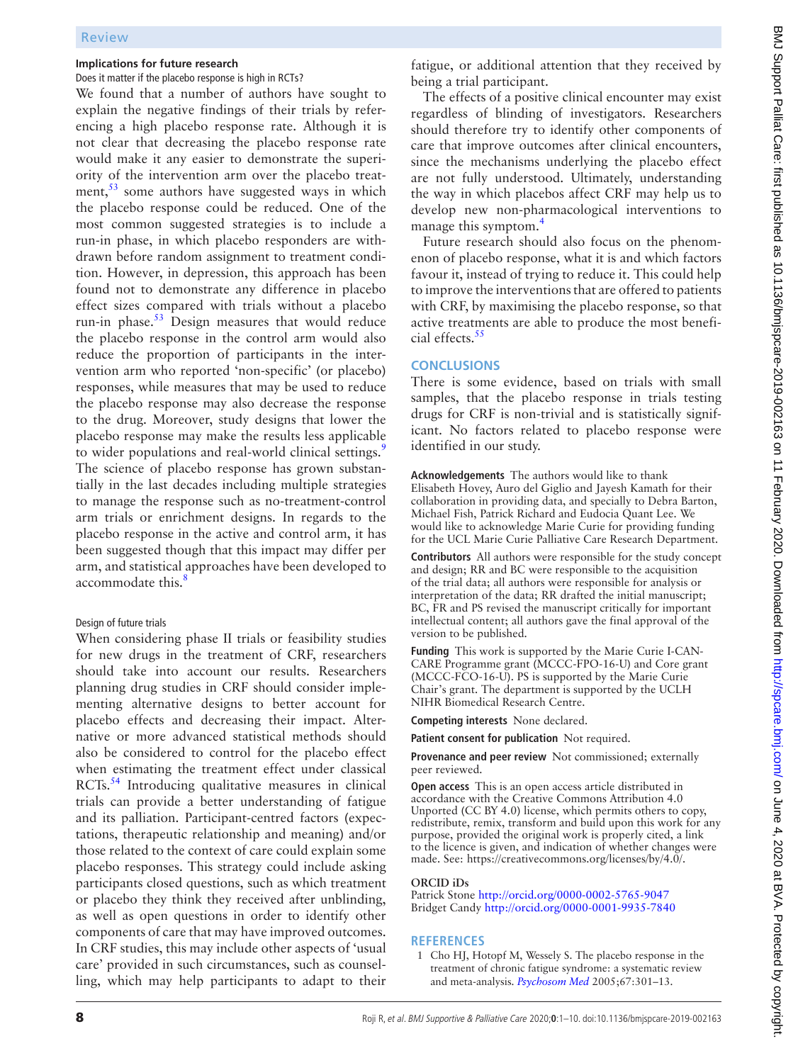## **Implications for future research**

Does it matter if the placebo response is high in RCTs? We found that a number of authors have sought to explain the negative findings of their trials by referencing a high placebo response rate. Although it is not clear that decreasing the placebo response rate would make it any easier to demonstrate the superiority of the intervention arm over the placebo treat-ment,<sup>[53](#page-9-13)</sup> some authors have suggested ways in which the placebo response could be reduced. One of the most common suggested strategies is to include a run-in phase, in which placebo responders are withdrawn before random assignment to treatment condition. However, in depression, this approach has been found not to demonstrate any difference in placebo effect sizes compared with trials without a placebo run-in phase. $53$  Design measures that would reduce the placebo response in the control arm would also reduce the proportion of participants in the intervention arm who reported 'non-specific' (or placebo) responses, while measures that may be used to reduce the placebo response may also decrease the response to the drug. Moreover, study designs that lower the placebo response may make the results less applicable to wider populations and real-world clinical settings.<sup>[9](#page-8-34)</sup> The science of placebo response has grown substantially in the last decades including multiple strategies to manage the response such as no-treatment-control arm trials or enrichment designs. In regards to the placebo response in the active and control arm, it has been suggested though that this impact may differ per arm, and statistical approaches have been developed to accommodate this. $\frac{8}{3}$  $\frac{8}{3}$  $\frac{8}{3}$ 

## Design of future trials

When considering phase II trials or feasibility studies for new drugs in the treatment of CRF, researchers should take into account our results. Researchers planning drug studies in CRF should consider implementing alternative designs to better account for placebo effects and decreasing their impact. Alternative or more advanced statistical methods should also be considered to control for the placebo effect when estimating the treatment effect under classical RCTs.<sup>54</sup> Introducing qualitative measures in clinical trials can provide a better understanding of fatigue and its palliation. Participant-centred factors (expectations, therapeutic relationship and meaning) and/or those related to the context of care could explain some placebo responses. This strategy could include asking participants closed questions, such as which treatment or placebo they think they received after unblinding, as well as open questions in order to identify other components of care that may have improved outcomes. In CRF studies, this may include other aspects of 'usual care' provided in such circumstances, such as counselling, which may help participants to adapt to their

fatigue, or additional attention that they received by being a trial participant.

The effects of a positive clinical encounter may exist regardless of blinding of investigators. Researchers should therefore try to identify other components of care that improve outcomes after clinical encounters, since the mechanisms underlying the placebo effect are not fully understood. Ultimately, understanding the way in which placebos affect CRF may help us to develop new non-pharmacological interventions to manage this symptom.<sup>[4](#page-8-0)</sup>

Future research should also focus on the phenomenon of placebo response, what it is and which factors favour it, instead of trying to reduce it. This could help to improve the interventions that are offered to patients with CRF, by maximising the placebo response, so that active treatments are able to produce the most beneficial effects.<sup>55</sup>

## **Conclusions**

There is some evidence, based on trials with small samples, that the placebo response in trials testing drugs for CRF is non-trivial and is statistically significant. No factors related to placebo response were identified in our study.

**Acknowledgements** The authors would like to thank Elisabeth Hovey, Auro del Giglio and Jayesh Kamath for their collaboration in providing data, and specially to Debra Barton, Michael Fish, Patrick Richard and Eudocia Quant Lee. We would like to acknowledge Marie Curie for providing funding for the UCL Marie Curie Palliative Care Research Department.

**Contributors** All authors were responsible for the study concept and design; RR and BC were responsible to the acquisition of the trial data; all authors were responsible for analysis or interpretation of the data; RR drafted the initial manuscript; BC, FR and PS revised the manuscript critically for important intellectual content; all authors gave the final approval of the version to be published.

**Funding** This work is supported by the Marie Curie I-CAN-CARE Programme grant (MCCC-FPO-16-U) and Core grant (MCCC-FCO-16-U). PS is supported by the Marie Curie Chair's grant. The department is supported by the UCLH NIHR Biomedical Research Centre.

**Competing interests** None declared.

**Patient consent for publication** Not required.

**Provenance and peer review** Not commissioned; externally peer reviewed.

**Open access** This is an open access article distributed in accordance with the Creative Commons Attribution 4.0 Unported (CC BY 4.0) license, which permits others to copy, redistribute, remix, transform and build upon this work for any purpose, provided the original work is properly cited, a link to the licence is given, and indication of whether changes were made. See: [https://creativecommons.org/licenses/by/4.0/.](https://creativecommons.org/licenses/by/4.0/)

## **ORCID iDs**

Patrick Stone<http://orcid.org/0000-0002-5765-9047> Bridget Candy <http://orcid.org/0000-0001-9935-7840>

## **References**

<span id="page-7-0"></span>1 Cho HJ, Hotopf M, Wessely S. The placebo response in the treatment of chronic fatigue syndrome: a systematic review and meta-analysis. *[Psychosom Med](http://dx.doi.org/10.1097/01.psy.0000156969.76986.e0)* 2005;67:301–13.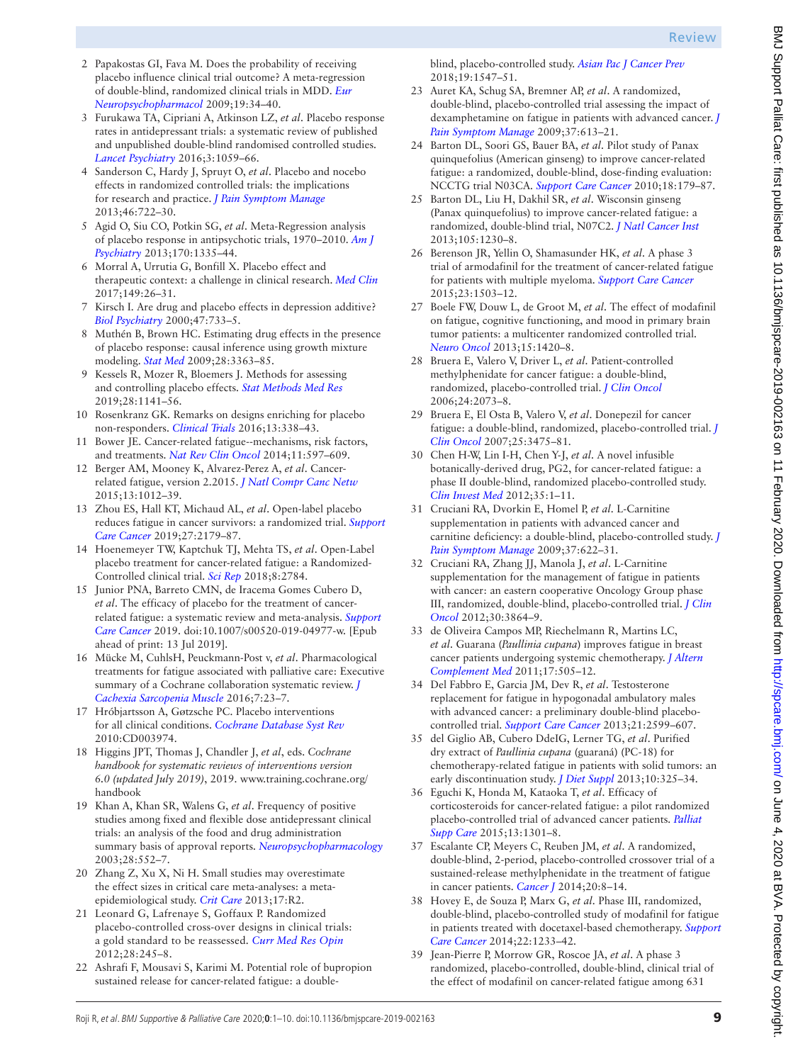BMJ Support Palliat Care: first published as 10.1136/bmjspcare-2019-002163 on 11 February 2020. Downloaded from http://spcare.bmj.com/spcare.bmj.com/on June 4, 2020 at BVA. Protected by copyright BMJ Support Palliat Care: first published as 10.1136/bmjspcare-2019-002163 on 11 February 2020. Downloaded from <http://spcare.bmj.com/> on June 4, 2020 at BVA. Protected by copyright.

- blind, placebo-controlled study. *[Asian Pac J Cancer Prev](http://dx.doi.org/10.22034/APJCP.2018.19.6.1547)* 2018;19:1547–51.
- <span id="page-8-17"></span>23 Auret KA, Schug SA, Bremner AP, *et al*. A randomized, double-blind, placebo-controlled trial assessing the impact of dexamphetamine on fatigue in patients with advanced cancer. *[J](http://dx.doi.org/10.1016/j.jpainsymman.2008.03.016)  [Pain Symptom Manage](http://dx.doi.org/10.1016/j.jpainsymman.2008.03.016)* 2009;37:613–21.
- <span id="page-8-18"></span>24 Barton DL, Soori GS, Bauer BA, *et al*. Pilot study of Panax quinquefolius (American ginseng) to improve cancer-related fatigue: a randomized, double-blind, dose-finding evaluation: NCCTG trial N03CA. *[Support Care Cancer](http://dx.doi.org/10.1007/s00520-009-0642-2)* 2010;18:179–87.
- <span id="page-8-19"></span>25 Barton DL, Liu H, Dakhil SR, *et al*. Wisconsin ginseng (Panax quinquefolius) to improve cancer-related fatigue: a randomized, double-blind trial, N07C2. *[J Natl Cancer Inst](http://dx.doi.org/10.1093/jnci/djt181)* 2013;105:1230–8.
- <span id="page-8-20"></span>26 Berenson JR, Yellin O, Shamasunder HK, *et al*. A phase 3 trial of armodafinil for the treatment of cancer-related fatigue for patients with multiple myeloma. *[Support Care Cancer](http://dx.doi.org/10.1007/s00520-014-2486-7)* 2015;23:1503–12.
- <span id="page-8-21"></span>27 Boele FW, Douw L, de Groot M, *et al*. The effect of modafinil on fatigue, cognitive functioning, and mood in primary brain tumor patients: a multicenter randomized controlled trial. *[Neuro Oncol](http://dx.doi.org/10.1093/neuonc/not102)* 2013;15:1420–8.
- <span id="page-8-22"></span>28 Bruera E, Valero V, Driver L, *et al*. Patient-controlled methylphenidate for cancer fatigue: a double-blind, randomized, placebo-controlled trial. *[J Clin Oncol](http://dx.doi.org/10.1200/JCO.2005.02.8506)* 2006;24:2073–8.
- <span id="page-8-23"></span>29 Bruera E, El Osta B, Valero V, *et al*. Donepezil for cancer fatigue: a double-blind, randomized, placebo-controlled trial. *[J](http://dx.doi.org/10.1200/JCO.2007.10.9231)  [Clin Oncol](http://dx.doi.org/10.1200/JCO.2007.10.9231)* 2007;25:3475–81.
- <span id="page-8-24"></span>30 Chen H-W, Lin I-H, Chen Y-J, *et al*. A novel infusible botanically-derived drug, PG2, for cancer-related fatigue: a phase II double-blind, randomized placebo-controlled study. *[Clin Invest Med](http://dx.doi.org/10.25011/cim.v35i1.16100)* 2012;35:1–11.
- <span id="page-8-25"></span>31 Cruciani RA, Dvorkin E, Homel P, *et al*. L-Carnitine supplementation in patients with advanced cancer and carnitine deficiency: a double-blind, placebo-controlled study. *[J](http://dx.doi.org/10.1016/j.jpainsymman.2008.03.021)  [Pain Symptom Manage](http://dx.doi.org/10.1016/j.jpainsymman.2008.03.021)* 2009;37:622–31.
- <span id="page-8-26"></span>32 Cruciani RA, Zhang JJ, Manola J, *et al*. L-Carnitine supplementation for the management of fatigue in patients with cancer: an eastern cooperative Oncology Group phase III, randomized, double-blind, placebo-controlled trial. *[J Clin](http://dx.doi.org/10.1200/JCO.2011.40.2180)  [Oncol](http://dx.doi.org/10.1200/JCO.2011.40.2180)* 2012;30:3864–9.
- <span id="page-8-27"></span>33 de Oliveira Campos MP, Riechelmann R, Martins LC, *et al*. Guarana (*Paullinia cupana*) improves fatigue in breast cancer patients undergoing systemic chemotherapy. *[J Altern](http://dx.doi.org/10.1089/acm.2010.0571)  [Complement Med](http://dx.doi.org/10.1089/acm.2010.0571)* 2011;17:505–12.
- <span id="page-8-28"></span>34 Del Fabbro E, Garcia JM, Dev R, *et al*. Testosterone replacement for fatigue in hypogonadal ambulatory males with advanced cancer: a preliminary double-blind placebocontrolled trial. *[Support Care Cancer](http://dx.doi.org/10.1007/s00520-013-1832-5)* 2013;21:2599–607.
- <span id="page-8-29"></span>35 del Giglio AB, Cubero DdeIG, Lerner TG, *et al*. Purified dry extract of *Paullinia cupana* (guaraná) (PC-18) for chemotherapy-related fatigue in patients with solid tumors: an early discontinuation study. *[J Diet Suppl](http://dx.doi.org/10.3109/19390211.2013.830676)* 2013;10:325–34.
- <span id="page-8-30"></span>36 Eguchi K, Honda M, Kataoka T, *et al*. Efficacy of corticosteroids for cancer-related fatigue: a pilot randomized placebo-controlled trial of advanced cancer patients. *[Palliat](http://dx.doi.org/10.1017/S1478951514001254)  [Supp Care](http://dx.doi.org/10.1017/S1478951514001254)* 2015;13:1301–8.
- <span id="page-8-31"></span>37 Escalante CP, Meyers C, Reuben JM, *et al*. A randomized, double-blind, 2-period, placebo-controlled crossover trial of a sustained-release methylphenidate in the treatment of fatigue in cancer patients. *[Cancer J](http://dx.doi.org/10.1097/PPO.0000000000000018)* 2014;20:8–14.
- <span id="page-8-32"></span>38 Hovey E, de Souza P, Marx G, *et al*. Phase III, randomized, double-blind, placebo-controlled study of modafinil for fatigue in patients treated with docetaxel-based chemotherapy. *[Support](http://dx.doi.org/10.1007/s00520-013-2076-0)  [Care Cancer](http://dx.doi.org/10.1007/s00520-013-2076-0)* 2014;22:1233–42.
- <span id="page-8-33"></span>39 Jean-Pierre P, Morrow GR, Roscoe JA, *et al*. A phase 3 randomized, placebo-controlled, double-blind, clinical trial of the effect of modafinil on cancer-related fatigue among 631
- 2 Papakostas GI, Fava M. Does the probability of receiving placebo influence clinical trial outcome? A meta-regression of double-blind, randomized clinical trials in MDD. *[Eur](http://dx.doi.org/10.1016/j.euroneuro.2008.08.009)  [Neuropsychopharmacol](http://dx.doi.org/10.1016/j.euroneuro.2008.08.009)* 2009;19:34–40.
- 3 Furukawa TA, Cipriani A, Atkinson LZ, *et al*. Placebo response rates in antidepressant trials: a systematic review of published and unpublished double-blind randomised controlled studies. *[Lancet Psychiatry](http://dx.doi.org/10.1016/S2215-0366(16)30307-8)* 2016;3:1059–66.
- <span id="page-8-0"></span>4 Sanderson C, Hardy J, Spruyt O, *et al*. Placebo and nocebo effects in randomized controlled trials: the implications for research and practice. *[J Pain Symptom Manage](http://dx.doi.org/10.1016/j.jpainsymman.2012.12.005)* 2013;46:722–30.
- <span id="page-8-1"></span>5 Agid O, Siu CO, Potkin SG, *et al*. Meta-Regression analysis of placebo response in antipsychotic trials, 1970–2010. *[Am J](http://dx.doi.org/10.1176/appi.ajp.2013.12030315)  [Psychiatry](http://dx.doi.org/10.1176/appi.ajp.2013.12030315)* 2013;170:1335–44.
- <span id="page-8-2"></span>6 Morral A, Urrutia G, Bonfill X. Placebo effect and therapeutic context: a challenge in clinical research. *[Med Clin](http://dx.doi.org/10.1016/j.medcli.2017.03.034)* 2017;149:26–31.
- <span id="page-8-3"></span>7 Kirsch I. Are drug and placebo effects in depression additive? *[Biol Psychiatry](http://dx.doi.org/10.1016/S0006-3223(00)00832-5)* 2000;47:733–5.
- <span id="page-8-4"></span>8 Muthén B, Brown HC. Estimating drug effects in the presence of placebo response: causal inference using growth mixture modeling. *[Stat Med](http://dx.doi.org/10.1002/sim.3721)* 2009;28:3363–85.
- <span id="page-8-34"></span>9 Kessels R, Mozer R, Bloemers J. Methods for assessing and controlling placebo effects. *[Stat Methods Med Res](http://dx.doi.org/10.1177/0962280217748339)* 2019;28:1141–56.
- <span id="page-8-5"></span>10 Rosenkranz GK. Remarks on designs enriching for placebo non-responders. *[Clinical Trials](http://dx.doi.org/10.1177/1740774515625186)* 2016;13:338–43.
- <span id="page-8-6"></span>11 Bower JE. Cancer-related fatigue--mechanisms, risk factors, and treatments. *[Nat Rev Clin Oncol](http://dx.doi.org/10.1038/nrclinonc.2014.127)* 2014;11:597–609.
- <span id="page-8-7"></span>12 Berger AM, Mooney K, Alvarez-Perez A, *et al*. Cancerrelated fatigue, version 2.2015. *[J Natl Compr Canc Netw](http://dx.doi.org/10.6004/jnccn.2015.0122)* 2015;13:1012–39.
- <span id="page-8-8"></span>13 Zhou ES, Hall KT, Michaud AL, *et al*. Open-label placebo reduces fatigue in cancer survivors: a randomized trial. *[Support](http://dx.doi.org/10.1007/s00520-018-4477-6)  [Care Cancer](http://dx.doi.org/10.1007/s00520-018-4477-6)* 2019;27:2179–87.
- 14 Hoenemeyer TW, Kaptchuk TJ, Mehta TS, *et al*. Open-Label placebo treatment for cancer-related fatigue: a Randomized-Controlled clinical trial. *[Sci Rep](http://dx.doi.org/10.1038/s41598-018-20993-y)* 2018;8:2784.
- <span id="page-8-9"></span>15 Junior PNA, Barreto CMN, de Iracema Gomes Cubero D, *et al*. The efficacy of placebo for the treatment of cancerrelated fatigue: a systematic review and meta-analysis. *[Support](http://dx.doi.org/10.1007/s00520-019-04977-w)  [Care Cancer](http://dx.doi.org/10.1007/s00520-019-04977-w)* 2019. doi:10.1007/s00520-019-04977-w. [Epub ahead of print: 13 Jul 2019].
- <span id="page-8-10"></span>16 Mücke M, CuhlsH, Peuckmann-Post v, *et al*. Pharmacological treatments for fatigue associated with palliative care: Executive summary of a Cochrane collaboration systematic review. *[J](http://dx.doi.org/10.1002/jcsm.12101)  [Cachexia Sarcopenia Muscle](http://dx.doi.org/10.1002/jcsm.12101)* 2016;7:23–7.
- <span id="page-8-11"></span>17 Hróbjartsson A, Gøtzsche PC. Placebo interventions for all clinical conditions. *[Cochrane Database Syst Rev](http://dx.doi.org/10.1002/14651858.CD003974.pub3)* 2010:CD003974.
- <span id="page-8-12"></span>18 Higgins JPT, Thomas J, Chandler J, *et al*, eds. *Cochrane handbook for systematic reviews of interventions version 6.0 (updated July 2019)*, 2019. [www.training.cochrane.org/](www.training.cochrane.org/handbook) [handbook](www.training.cochrane.org/handbook)
- <span id="page-8-13"></span>19 Khan A, Khan SR, Walens G, *et al*. Frequency of positive studies among fixed and flexible dose antidepressant clinical trials: an analysis of the food and drug administration summary basis of approval reports. *[Neuropsychopharmacology](http://dx.doi.org/10.1038/sj.npp.1300059)* 2003;28:552–7.
- <span id="page-8-14"></span>20 Zhang Z, Xu X, Ni H. Small studies may overestimate the effect sizes in critical care meta-analyses: a metaepidemiological study. *[Crit Care](http://dx.doi.org/10.1186/cc11919)* 2013;17:R2.
- <span id="page-8-15"></span>21 Leonard G, Lafrenaye S, Goffaux P. Randomized placebo-controlled cross-over designs in clinical trials: a gold standard to be reassessed. *[Curr Med Res Opin](http://dx.doi.org/10.1185/03007995.2011.653558)* 2012;28:245–8.
- <span id="page-8-16"></span>22 Ashrafi F, Mousavi S, Karimi M. Potential role of bupropion sustained release for cancer-related fatigue: a double-